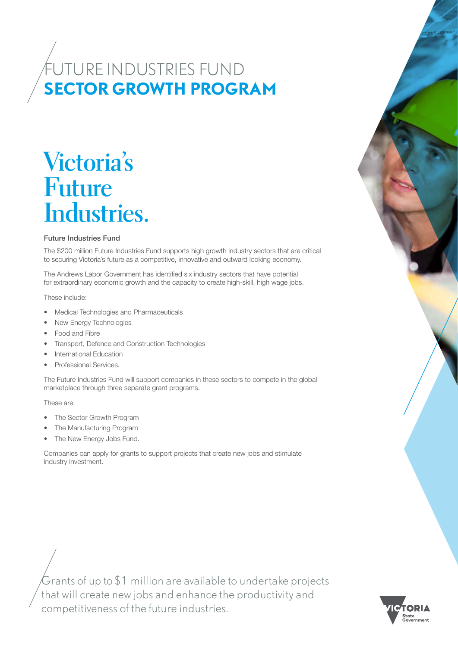## **SECTOR GROWTH PROGRAM** FUTURE INDUSTRIES FUND

# **Victoria's Future Industries.**

#### Future Industries Fund

The \$200 million Future Industries Fund supports high growth industry sectors that are critical to securing Victoria's future as a competitive, innovative and outward looking economy.

The Andrews Labor Government has identified six industry sectors that have potential for extraordinary economic growth and the capacity to create high-skill, high wage jobs.

These include:

- Medical Technologies and Pharmaceuticals
- New Energy Technologies
- Food and Fibre
- Transport, Defence and Construction Technologies
- International Education
- Professional Services.

The Future Industries Fund will support companies in these sectors to compete in the global marketplace through three separate grant programs.

These are:

- The Sector Growth Program
- The Manufacturing Program
- The New Energy Jobs Fund.

Companies can apply for grants to support projects that create new jobs and stimulate industry investment.

Grants of up to \$1 million are available to undertake projects that will create new jobs and enhance the productivity and competitiveness of the future industries.